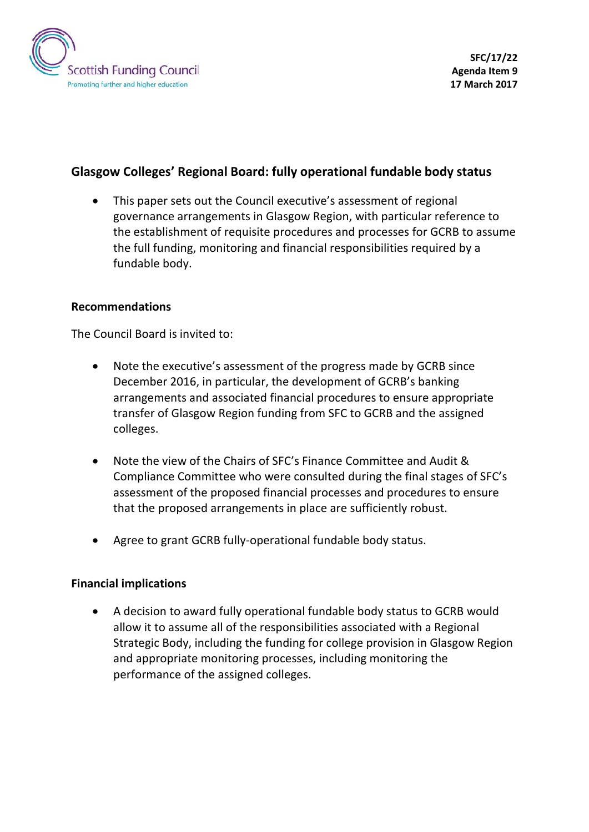

# **Glasgow Colleges' Regional Board: fully operational fundable body status**

This paper sets out the Council executive's assessment of regional governance arrangements in Glasgow Region, with particular reference to the establishment of requisite procedures and processes for GCRB to assume the full funding, monitoring and financial responsibilities required by a fundable body.

#### **Recommendations**

The Council Board is invited to:

- Note the executive's assessment of the progress made by GCRB since December 2016, in particular, the development of GCRB's banking arrangements and associated financial procedures to ensure appropriate transfer of Glasgow Region funding from SFC to GCRB and the assigned colleges.
- Note the view of the Chairs of SFC's Finance Committee and Audit & Compliance Committee who were consulted during the final stages of SFC's assessment of the proposed financial processes and procedures to ensure that the proposed arrangements in place are sufficiently robust.
- Agree to grant GCRB fully-operational fundable body status.

#### **Financial implications**

• A decision to award fully operational fundable body status to GCRB would allow it to assume all of the responsibilities associated with a Regional Strategic Body, including the funding for college provision in Glasgow Region and appropriate monitoring processes, including monitoring the performance of the assigned colleges.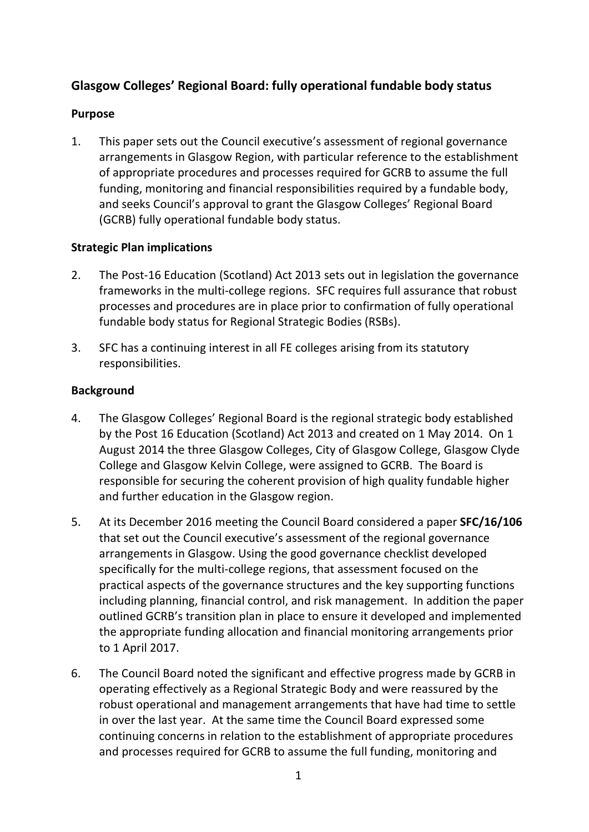# **Glasgow Colleges' Regional Board: fully operational fundable body status**

### **Purpose**

1. This paper sets out the Council executive's assessment of regional governance arrangements in Glasgow Region, with particular reference to the establishment of appropriate procedures and processes required for GCRB to assume the full funding, monitoring and financial responsibilities required by a fundable body, and seeks Council's approval to grant the Glasgow Colleges' Regional Board (GCRB) fully operational fundable body status.

#### **Strategic Plan implications**

- 2. The Post-16 Education (Scotland) Act 2013 sets out in legislation the governance frameworks in the multi-college regions. SFC requires full assurance that robust processes and procedures are in place prior to confirmation of fully operational fundable body status for Regional Strategic Bodies (RSBs).
- 3. SFC has a continuing interest in all FE colleges arising from its statutory responsibilities.

## **Background**

- 4. The Glasgow Colleges' Regional Board is the regional strategic body established by the Post 16 Education (Scotland) Act 2013 and created on 1 May 2014. On 1 August 2014 the three Glasgow Colleges, City of Glasgow College, Glasgow Clyde College and Glasgow Kelvin College, were assigned to GCRB. The Board is responsible for securing the coherent provision of high quality fundable higher and further education in the Glasgow region.
- 5. At its December 2016 meeting the Council Board considered a paper **SFC/16/106** that set out the Council executive's assessment of the regional governance arrangements in Glasgow. Using the good governance checklist developed specifically for the multi-college regions, that assessment focused on the practical aspects of the governance structures and the key supporting functions including planning, financial control, and risk management. In addition the paper outlined GCRB's transition plan in place to ensure it developed and implemented the appropriate funding allocation and financial monitoring arrangements prior to 1 April 2017.
- 6. The Council Board noted the significant and effective progress made by GCRB in operating effectively as a Regional Strategic Body and were reassured by the robust operational and management arrangements that have had time to settle in over the last year. At the same time the Council Board expressed some continuing concerns in relation to the establishment of appropriate procedures and processes required for GCRB to assume the full funding, monitoring and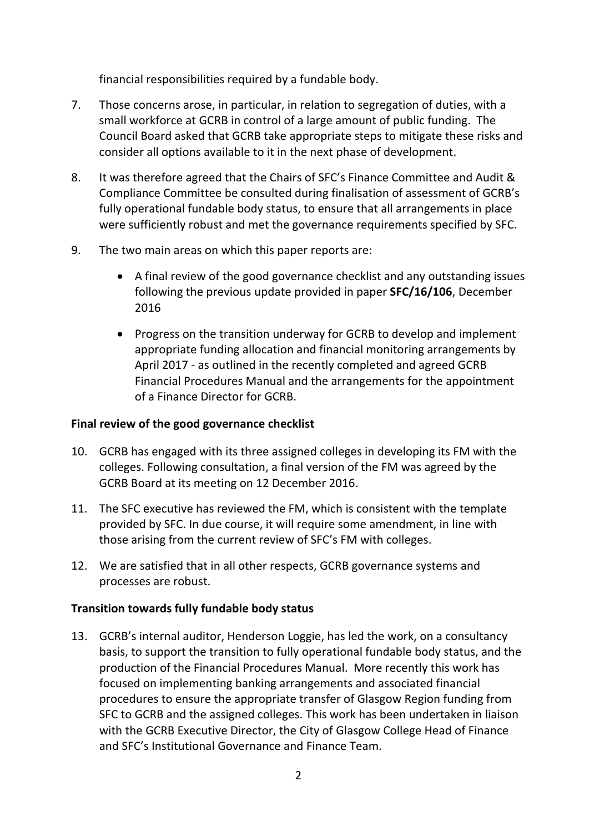financial responsibilities required by a fundable body.

- 7. Those concerns arose, in particular, in relation to segregation of duties, with a small workforce at GCRB in control of a large amount of public funding. The Council Board asked that GCRB take appropriate steps to mitigate these risks and consider all options available to it in the next phase of development.
- 8. It was therefore agreed that the Chairs of SFC's Finance Committee and Audit & Compliance Committee be consulted during finalisation of assessment of GCRB's fully operational fundable body status, to ensure that all arrangements in place were sufficiently robust and met the governance requirements specified by SFC.
- 9. The two main areas on which this paper reports are:
	- A final review of the good governance checklist and any outstanding issues following the previous update provided in paper **SFC/16/106**, December 2016
	- Progress on the transition underway for GCRB to develop and implement appropriate funding allocation and financial monitoring arrangements by April 2017 - as outlined in the recently completed and agreed GCRB Financial Procedures Manual and the arrangements for the appointment of a Finance Director for GCRB.

# **Final review of the good governance checklist**

- 10. GCRB has engaged with its three assigned colleges in developing its FM with the colleges. Following consultation, a final version of the FM was agreed by the GCRB Board at its meeting on 12 December 2016.
- 11. The SFC executive has reviewed the FM, which is consistent with the template provided by SFC. In due course, it will require some amendment, in line with those arising from the current review of SFC's FM with colleges.
- 12. We are satisfied that in all other respects, GCRB governance systems and processes are robust.

# **Transition towards fully fundable body status**

13. GCRB's internal auditor, Henderson Loggie, has led the work, on a consultancy basis, to support the transition to fully operational fundable body status, and the production of the Financial Procedures Manual. More recently this work has focused on implementing banking arrangements and associated financial procedures to ensure the appropriate transfer of Glasgow Region funding from SFC to GCRB and the assigned colleges. This work has been undertaken in liaison with the GCRB Executive Director, the City of Glasgow College Head of Finance and SFC's Institutional Governance and Finance Team.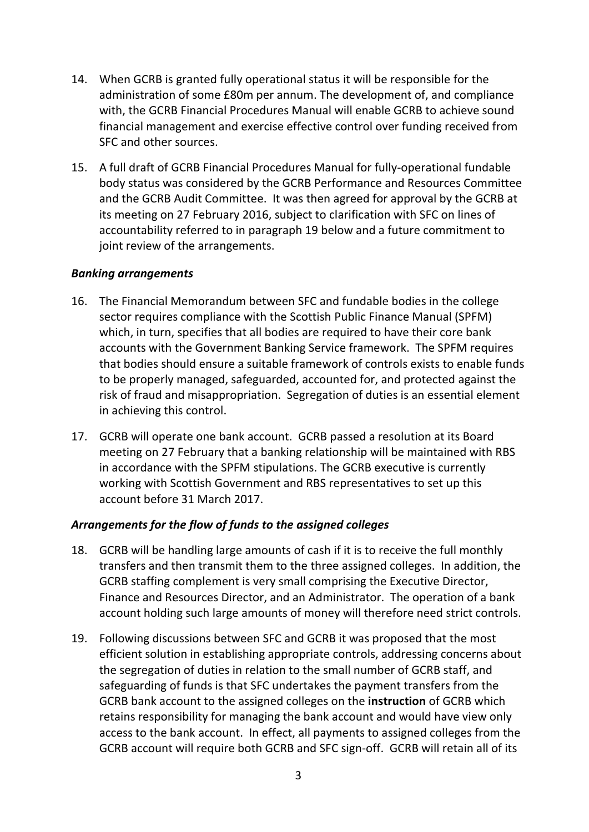- 14. When GCRB is granted fully operational status it will be responsible for the administration of some £80m per annum. The development of, and compliance with, the GCRB Financial Procedures Manual will enable GCRB to achieve sound financial management and exercise effective control over funding received from SFC and other sources.
- 15. A full draft of GCRB Financial Procedures Manual for fully-operational fundable body status was considered by the GCRB Performance and Resources Committee and the GCRB Audit Committee. It was then agreed for approval by the GCRB at its meeting on 27 February 2016, subject to clarification with SFC on lines of accountability referred to in paragraph 19 below and a future commitment to joint review of the arrangements.

#### *Banking arrangements*

- 16. The Financial Memorandum between SFC and fundable bodies in the college sector requires compliance with the Scottish Public Finance Manual (SPFM) which, in turn, specifies that all bodies are required to have their core bank accounts with the Government Banking Service framework. The SPFM requires that bodies should ensure a suitable framework of controls exists to enable funds to be properly managed, safeguarded, accounted for, and protected against the risk of fraud and misappropriation. Segregation of duties is an essential element in achieving this control.
- 17. GCRB will operate one bank account. GCRB passed a resolution at its Board meeting on 27 February that a banking relationship will be maintained with RBS in accordance with the SPFM stipulations. The GCRB executive is currently working with Scottish Government and RBS representatives to set up this account before 31 March 2017.

## *Arrangements for the flow of funds to the assigned colleges*

- 18. GCRB will be handling large amounts of cash if it is to receive the full monthly transfers and then transmit them to the three assigned colleges. In addition, the GCRB staffing complement is very small comprising the Executive Director, Finance and Resources Director, and an Administrator. The operation of a bank account holding such large amounts of money will therefore need strict controls.
- 19. Following discussions between SFC and GCRB it was proposed that the most efficient solution in establishing appropriate controls, addressing concerns about the segregation of duties in relation to the small number of GCRB staff, and safeguarding of funds is that SFC undertakes the payment transfers from the GCRB bank account to the assigned colleges on the **instruction** of GCRB which retains responsibility for managing the bank account and would have view only access to the bank account. In effect, all payments to assigned colleges from the GCRB account will require both GCRB and SFC sign-off. GCRB will retain all of its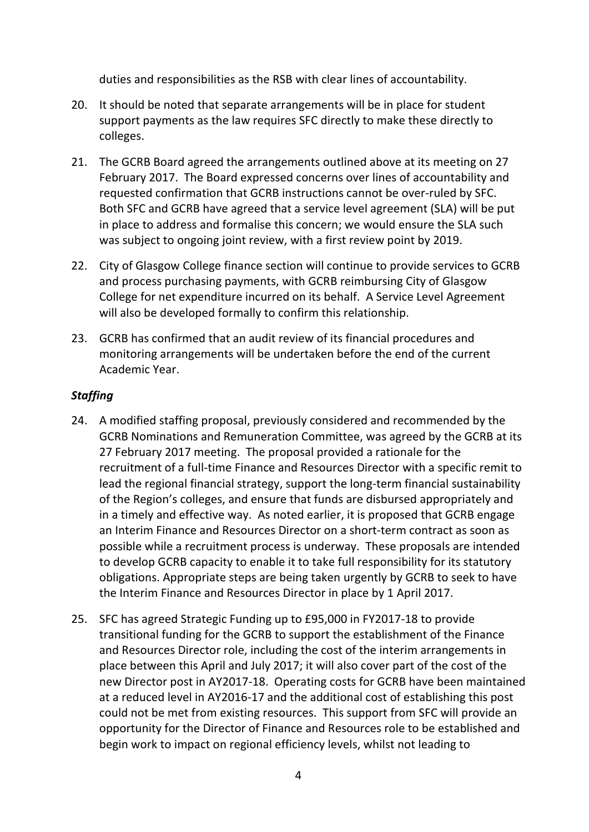duties and responsibilities as the RSB with clear lines of accountability.

- 20. It should be noted that separate arrangements will be in place for student support payments as the law requires SFC directly to make these directly to colleges.
- 21. The GCRB Board agreed the arrangements outlined above at its meeting on 27 February 2017. The Board expressed concerns over lines of accountability and requested confirmation that GCRB instructions cannot be over-ruled by SFC. Both SFC and GCRB have agreed that a service level agreement (SLA) will be put in place to address and formalise this concern; we would ensure the SLA such was subject to ongoing joint review, with a first review point by 2019.
- 22. City of Glasgow College finance section will continue to provide services to GCRB and process purchasing payments, with GCRB reimbursing City of Glasgow College for net expenditure incurred on its behalf. A Service Level Agreement will also be developed formally to confirm this relationship.
- 23. GCRB has confirmed that an audit review of its financial procedures and monitoring arrangements will be undertaken before the end of the current Academic Year.

## *Staffing*

- 24. A modified staffing proposal, previously considered and recommended by the GCRB Nominations and Remuneration Committee, was agreed by the GCRB at its 27 February 2017 meeting. The proposal provided a rationale for the recruitment of a full-time Finance and Resources Director with a specific remit to lead the regional financial strategy, support the long-term financial sustainability of the Region's colleges, and ensure that funds are disbursed appropriately and in a timely and effective way. As noted earlier, it is proposed that GCRB engage an Interim Finance and Resources Director on a short-term contract as soon as possible while a recruitment process is underway. These proposals are intended to develop GCRB capacity to enable it to take full responsibility for its statutory obligations. Appropriate steps are being taken urgently by GCRB to seek to have the Interim Finance and Resources Director in place by 1 April 2017.
- 25. SFC has agreed Strategic Funding up to £95,000 in FY2017-18 to provide transitional funding for the GCRB to support the establishment of the Finance and Resources Director role, including the cost of the interim arrangements in place between this April and July 2017; it will also cover part of the cost of the new Director post in AY2017-18. Operating costs for GCRB have been maintained at a reduced level in AY2016-17 and the additional cost of establishing this post could not be met from existing resources. This support from SFC will provide an opportunity for the Director of Finance and Resources role to be established and begin work to impact on regional efficiency levels, whilst not leading to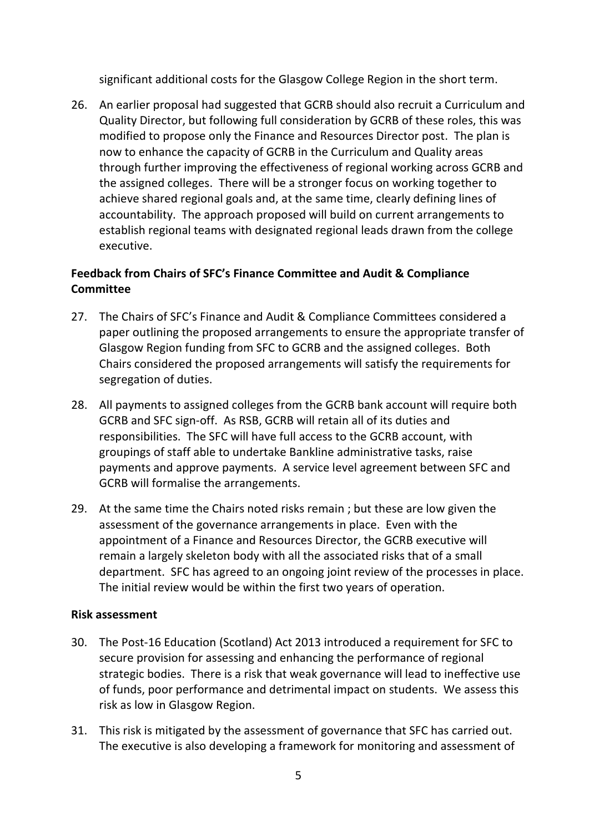significant additional costs for the Glasgow College Region in the short term.

26. An earlier proposal had suggested that GCRB should also recruit a Curriculum and Quality Director, but following full consideration by GCRB of these roles, this was modified to propose only the Finance and Resources Director post. The plan is now to enhance the capacity of GCRB in the Curriculum and Quality areas through further improving the effectiveness of regional working across GCRB and the assigned colleges. There will be a stronger focus on working together to achieve shared regional goals and, at the same time, clearly defining lines of accountability. The approach proposed will build on current arrangements to establish regional teams with designated regional leads drawn from the college executive.

# **Feedback from Chairs of SFC's Finance Committee and Audit & Compliance Committee**

- 27. The Chairs of SFC's Finance and Audit & Compliance Committees considered a paper outlining the proposed arrangements to ensure the appropriate transfer of Glasgow Region funding from SFC to GCRB and the assigned colleges. Both Chairs considered the proposed arrangements will satisfy the requirements for segregation of duties.
- 28. All payments to assigned colleges from the GCRB bank account will require both GCRB and SFC sign-off. As RSB, GCRB will retain all of its duties and responsibilities. The SFC will have full access to the GCRB account, with groupings of staff able to undertake Bankline administrative tasks, raise payments and approve payments. A service level agreement between SFC and GCRB will formalise the arrangements.
- 29. At the same time the Chairs noted risks remain ; but these are low given the assessment of the governance arrangements in place. Even with the appointment of a Finance and Resources Director, the GCRB executive will remain a largely skeleton body with all the associated risks that of a small department. SFC has agreed to an ongoing joint review of the processes in place. The initial review would be within the first two years of operation.

#### **Risk assessment**

- 30. The Post-16 Education (Scotland) Act 2013 introduced a requirement for SFC to secure provision for assessing and enhancing the performance of regional strategic bodies. There is a risk that weak governance will lead to ineffective use of funds, poor performance and detrimental impact on students. We assess this risk as low in Glasgow Region.
- 31. This risk is mitigated by the assessment of governance that SFC has carried out. The executive is also developing a framework for monitoring and assessment of